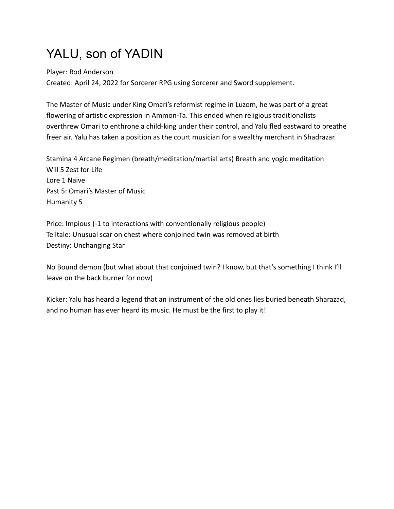## YALU, son of YADIN

Player: Rod Anderson

Created: April 24, 2022 for Sorcerer RPG using Sorcerer and Sword supplement.

The Master of Music under King Omari's reformist regime in Luzom, he was part of a great flowering of artistic expression in Ammon-Ta. This ended when religious traditionalists overthrew Omari to enthrone a child-king under their control, and Yalu fled eastward to breathe freer air. Yalu has taken a position as the court musician for a wealthy merchant in Shadrazar.

Stamina 4 Arcane Regimen (breath/meditation/martial arts) Breath and yogic meditation Will 5 Zest for Life Lore 1 Naive Past 5: Omari's Master of Music Humanity 5

Price: Impious (-1 to interactions with conventionally religious people) Telltale: Unusual scar on chest where conjoined twin was removed at birth Destiny: Unchanging Star

No Bound demon (but what about that conjoined twin? I know, but that's something I think I'll leave on the back burner for now)

Kicker: Yalu has heard a legend that an instrument of the old ones lies buried beneath Sharazad, and no human has ever heard its music. He must be the first to play it!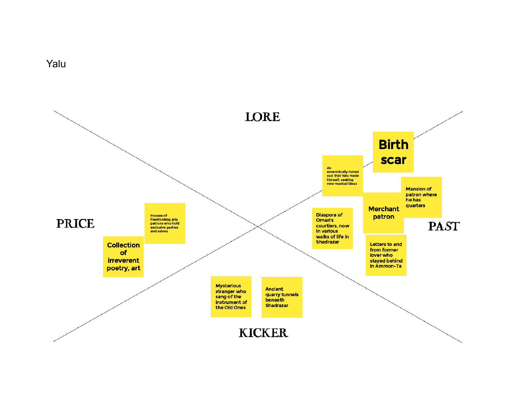

Yalu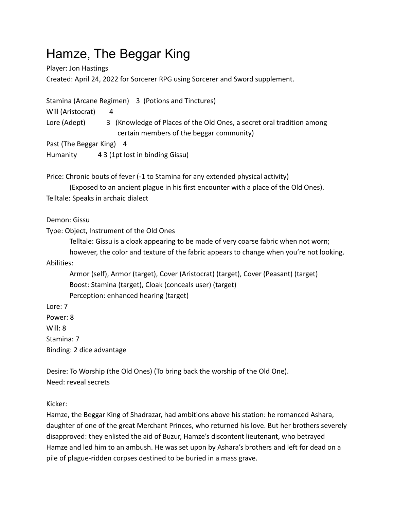## Hamze, The Beggar King

Player: Jon Hastings Created: April 24, 2022 for Sorcerer RPG using Sorcerer and Sword supplement.

Stamina (Arcane Regimen) 3 (Potions and Tinctures) Will (Aristocrat) 4 Lore (Adept) 3 (Knowledge of Places of the Old Ones, a secret oral tradition among certain members of the beggar community) Past (The Beggar King) 4

Humanity 4 3 (1pt lost in binding Gissu)

Price: Chronic bouts of fever (-1 to Stamina for any extended physical activity)

(Exposed to an ancient plague in his first encounter with a place of the Old Ones). Telltale: Speaks in archaic dialect

Demon: Gissu

Type: Object, Instrument of the Old Ones

Telltale: Gissu is a cloak appearing to be made of very coarse fabric when not worn;

however, the color and texture of the fabric appears to change when you're not looking. Abilities:

Armor (self), Armor (target), Cover (Aristocrat) (target), Cover (Peasant) (target) Boost: Stamina (target), Cloak (conceals user) (target) Perception: enhanced hearing (target)

Lore: 7

Power: 8

Will: 8

Stamina: 7

Binding: 2 dice advantage

Desire: To Worship (the Old Ones) (To bring back the worship of the Old One). Need: reveal secrets

Kicker:

Hamze, the Beggar King of Shadrazar, had ambitions above his station: he romanced Ashara, daughter of one of the great Merchant Princes, who returned his love. But her brothers severely disapproved: they enlisted the aid of Buzur, Hamze's discontent lieutenant, who betrayed Hamze and led him to an ambush. He was set upon by Ashara's brothers and left for dead on a pile of plague-ridden corpses destined to be buried in a mass grave.